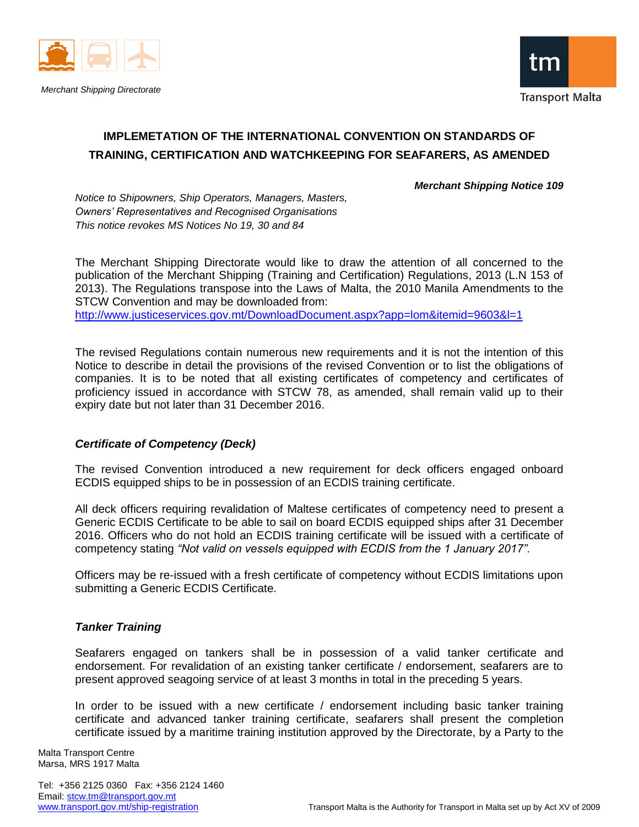



# **IMPLEMETATION OF THE INTERNATIONAL CONVENTION ON STANDARDS OF TRAINING, CERTIFICATION AND WATCHKEEPING FOR SEAFARERS, AS AMENDED**

#### *Merchant Shipping Notice 109*

*Notice to Shipowners, Ship Operators, Managers, Masters, Owners' Representatives and Recognised Organisations This notice revokes MS Notices No 19, 30 and 84*

The Merchant Shipping Directorate would like to draw the attention of all concerned to the publication of the Merchant Shipping (Training and Certification) Regulations, 2013 (L.N 153 of 2013). The Regulations transpose into the Laws of Malta, the 2010 Manila Amendments to the STCW Convention and may be downloaded from: <http://www.justiceservices.gov.mt/DownloadDocument.aspx?app=lom&itemid=9603&l=1>

The revised Regulations contain numerous new requirements and it is not the intention of this Notice to describe in detail the provisions of the revised Convention or to list the obligations of companies. It is to be noted that all existing certificates of competency and certificates of proficiency issued in accordance with STCW 78, as amended, shall remain valid up to their expiry date but not later than 31 December 2016.

#### *Certificate of Competency (Deck)*

The revised Convention introduced a new requirement for deck officers engaged onboard ECDIS equipped ships to be in possession of an ECDIS training certificate.

All deck officers requiring revalidation of Maltese certificates of competency need to present a Generic ECDIS Certificate to be able to sail on board ECDIS equipped ships after 31 December 2016. Officers who do not hold an ECDIS training certificate will be issued with a certificate of competency stating *"Not valid on vessels equipped with ECDIS from the 1 January 2017"*.

Officers may be re-issued with a fresh certificate of competency without ECDIS limitations upon submitting a Generic ECDIS Certificate.

# *Tanker Training*

Seafarers engaged on tankers shall be in possession of a valid tanker certificate and endorsement. For revalidation of an existing tanker certificate / endorsement, seafarers are to present approved seagoing service of at least 3 months in total in the preceding 5 years.

In order to be issued with a new certificate / endorsement including basic tanker training certificate and advanced tanker training certificate, seafarers shall present the completion certificate issued by a maritime training institution approved by the Directorate, by a Party to the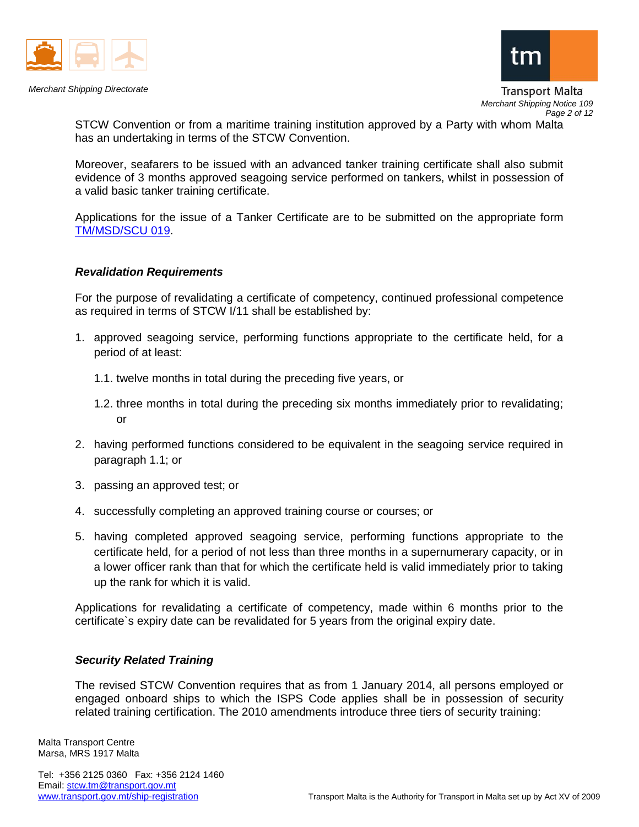



Transport Malta *Merchant Shipping Notice 109 Page 2 of 12*

STCW Convention or from a maritime training institution approved by a Party with whom Malta has an undertaking in terms of the STCW Convention.

Moreover, seafarers to be issued with an advanced tanker training certificate shall also submit evidence of 3 months approved seagoing service performed on tankers, whilst in possession of a valid basic tanker training certificate.

Applications for the issue of a Tanker Certificate are to be submitted on the appropriate form [TM/MSD/SCU 019.](http://www.transport.gov.mt/admin/uploads/media-library/files/Form%20TM%20MSD%20SCU%20019%20Application%20for%20a%20Tanker%20certificate%20Issue%201.doc_20131016070016.doc)

#### *Revalidation Requirements*

For the purpose of revalidating a certificate of competency, continued professional competence as required in terms of STCW I/11 shall be established by:

- 1. approved seagoing service, performing functions appropriate to the certificate held, for a period of at least:
	- 1.1. twelve months in total during the preceding five years, or
	- 1.2. three months in total during the preceding six months immediately prior to revalidating; or
- 2. having performed functions considered to be equivalent in the seagoing service required in paragraph 1.1; or
- 3. passing an approved test; or
- 4. successfully completing an approved training course or courses; or
- 5. having completed approved seagoing service, performing functions appropriate to the certificate held, for a period of not less than three months in a supernumerary capacity, or in a lower officer rank than that for which the certificate held is valid immediately prior to taking up the rank for which it is valid.

Applications for revalidating a certificate of competency, made within 6 months prior to the certificate`s expiry date can be revalidated for 5 years from the original expiry date.

#### *Security Related Training*

The revised STCW Convention requires that as from 1 January 2014, all persons employed or engaged onboard ships to which the ISPS Code applies shall be in possession of security related training certification. The 2010 amendments introduce three tiers of security training:

Malta Transport Centre Marsa, MRS 1917 Malta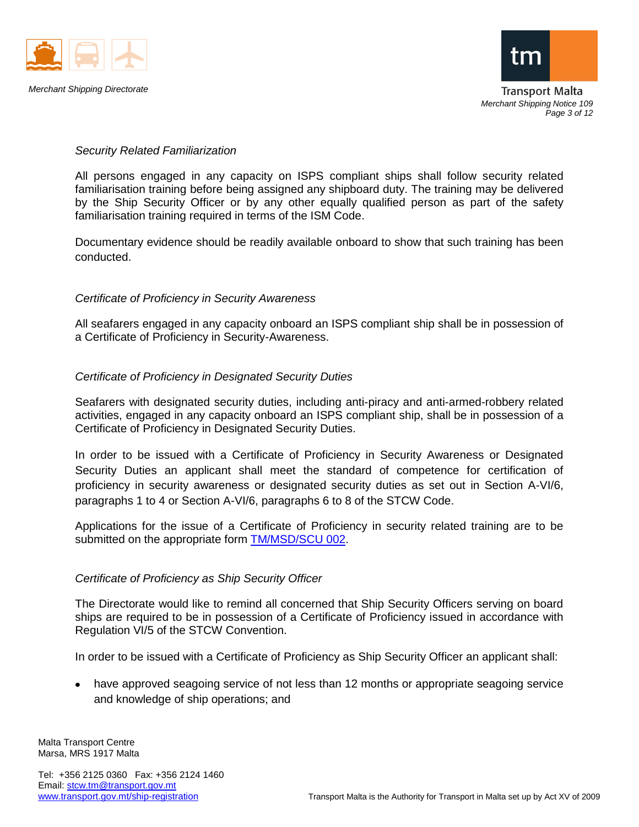



*Merchant Shipping Notice 109 Page 3 of 12*

# *Security Related Familiarization*

All persons engaged in any capacity on ISPS compliant ships shall follow security related familiarisation training before being assigned any shipboard duty. The training may be delivered by the Ship Security Officer or by any other equally qualified person as part of the safety familiarisation training required in terms of the ISM Code.

Documentary evidence should be readily available onboard to show that such training has been conducted.

# *Certificate of Proficiency in Security Awareness*

All seafarers engaged in any capacity onboard an ISPS compliant ship shall be in possession of a Certificate of Proficiency in Security-Awareness.

# *Certificate of Proficiency in Designated Security Duties*

Seafarers with designated security duties, including anti-piracy and anti-armed-robbery related activities, engaged in any capacity onboard an ISPS compliant ship, shall be in possession of a Certificate of Proficiency in Designated Security Duties.

In order to be issued with a Certificate of Proficiency in Security Awareness or Designated Security Duties an applicant shall meet the standard of competence for certification of proficiency in security awareness or designated security duties as set out in Section A-VI/6, paragraphs 1 to 4 or Section A-VI/6, paragraphs 6 to 8 of the STCW Code.

Applications for the issue of a Certificate of Proficiency in security related training are to be submitted on the appropriate form **TM/MSD/SCU 002**.

#### *Certificate of Proficiency as Ship Security Officer*

The Directorate would like to remind all concerned that Ship Security Officers serving on board ships are required to be in possession of a Certificate of Proficiency issued in accordance with Regulation VI/5 of the STCW Convention.

In order to be issued with a Certificate of Proficiency as Ship Security Officer an applicant shall:

have approved seagoing service of not less than 12 months or appropriate seagoing service and knowledge of ship operations; and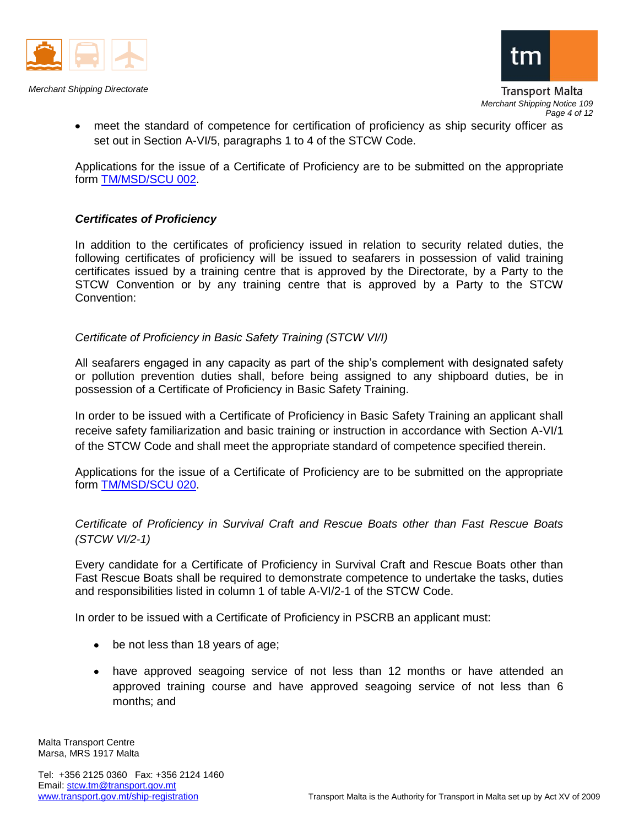



meet the standard of competence for certification of proficiency as ship security officer as set out in Section A-VI/5, paragraphs 1 to 4 of the STCW Code.

Applications for the issue of a Certificate of Proficiency are to be submitted on the appropriate form [TM/MSD/SCU 002.](http://www.transport.gov.mt/admin/uploads/media-library/files/Form%20TM%20MSD%20SCU%20002%20App%20for%20a%20cert%20of%20proficiency%20for%20Ship%20Security%20Officers,%20Security-Awarness%20Training%20%20Designated%20Security%20Duties%20Issue%203.doc)

# *Certificates of Proficiency*

In addition to the certificates of proficiency issued in relation to security related duties, the following certificates of proficiency will be issued to seafarers in possession of valid training certificates issued by a training centre that is approved by the Directorate, by a Party to the STCW Convention or by any training centre that is approved by a Party to the STCW Convention:

# *Certificate of Proficiency in Basic Safety Training (STCW VI/I)*

All seafarers engaged in any capacity as part of the ship's complement with designated safety or pollution prevention duties shall, before being assigned to any shipboard duties, be in possession of a Certificate of Proficiency in Basic Safety Training.

In order to be issued with a Certificate of Proficiency in Basic Safety Training an applicant shall receive safety familiarization and basic training or instruction in accordance with Section A-VI/1 of the STCW Code and shall meet the appropriate standard of competence specified therein.

Applications for the issue of a Certificate of Proficiency are to be submitted on the appropriate form [TM/MSD/SCU 020.](http://www.transport.gov.mt/admin/uploads/media-library/files/Form%20TM%20MSD%20SCU%20020%20Application%20for%20a%20certificate%20of%20proficiency%20in%20Basic%20Safety%20Training%20Issue%201.doc)

*Certificate of Proficiency in Survival Craft and Rescue Boats other than Fast Rescue Boats (STCW VI/2-1)*

Every candidate for a Certificate of Proficiency in Survival Craft and Rescue Boats other than Fast Rescue Boats shall be required to demonstrate competence to undertake the tasks, duties and responsibilities listed in column 1 of table A-VI/2-1 of the STCW Code.

In order to be issued with a Certificate of Proficiency in PSCRB an applicant must:

- be not less than 18 years of age;
- have approved seagoing service of not less than 12 months or have attended an approved training course and have approved seagoing service of not less than 6 months; and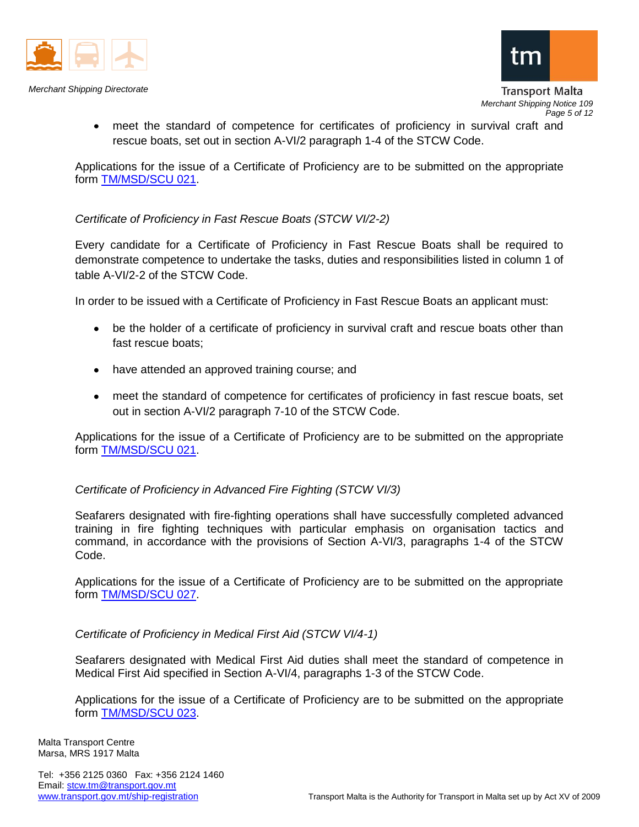



meet the standard of competence for certificates of proficiency in survival craft and rescue boats, set out in section A-VI/2 paragraph 1-4 of the STCW Code.

Applications for the issue of a Certificate of Proficiency are to be submitted on the appropriate form [TM/MSD/SCU 021.](http://www.transport.gov.mt/admin/uploads/media-library/files/Form%20TM%20MSD%20SCU%20021%20Application%20for%20a%20certificate%20of%20proficiency%20in%20PSCRB%20and%20Fast%20Rescue%20Boats%20Issue%201.doc)

# *Certificate of Proficiency in Fast Rescue Boats (STCW VI/2-2)*

Every candidate for a Certificate of Proficiency in Fast Rescue Boats shall be required to demonstrate competence to undertake the tasks, duties and responsibilities listed in column 1 of table A-VI/2-2 of the STCW Code.

In order to be issued with a Certificate of Proficiency in Fast Rescue Boats an applicant must:

- be the holder of a certificate of proficiency in survival craft and rescue boats other than fast rescue boats;
- have attended an approved training course; and
- meet the standard of competence for certificates of proficiency in fast rescue boats, set out in section A-VI/2 paragraph 7-10 of the STCW Code.

Applications for the issue of a Certificate of Proficiency are to be submitted on the appropriate form [TM/MSD/SCU 021.](http://www.transport.gov.mt/admin/uploads/media-library/files/Form%20TM%20MSD%20SCU%20021%20Application%20for%20a%20certificate%20of%20proficiency%20in%20PSCRB%20and%20Fast%20Rescue%20Boats%20Issue%201.doc)

# *Certificate of Proficiency in Advanced Fire Fighting (STCW VI/3)*

Seafarers designated with fire-fighting operations shall have successfully completed advanced training in fire fighting techniques with particular emphasis on organisation tactics and command, in accordance with the provisions of Section A-VI/3, paragraphs 1-4 of the STCW Code.

Applications for the issue of a Certificate of Proficiency are to be submitted on the appropriate form [TM/MSD/SCU 027.](http://www.transport.gov.mt/admin/uploads/media-library/files/Form%20TM%20MSD%20SCU%20027%20Application%20for%20a%20certificate%20of%20proficiency%20in%20Advanced%20Fire%20Fighting%20Issue%201.doc)

*Certificate of Proficiency in Medical First Aid (STCW VI/4-1)*

Seafarers designated with Medical First Aid duties shall meet the standard of competence in Medical First Aid specified in Section A-VI/4, paragraphs 1-3 of the STCW Code.

Applications for the issue of a Certificate of Proficiency are to be submitted on the appropriate form [TM/MSD/SCU 023.](http://www.transport.gov.mt/admin/uploads/media-library/files/Form%20TM%20MSD%20SCU%20023%20Application%20for%20a%20certificate%20of%20proficiency%20in%20Medical%20First%20Aid%20and%20Medical%20Care%20Issue%201.doc)

Malta Transport Centre Marsa, MRS 1917 Malta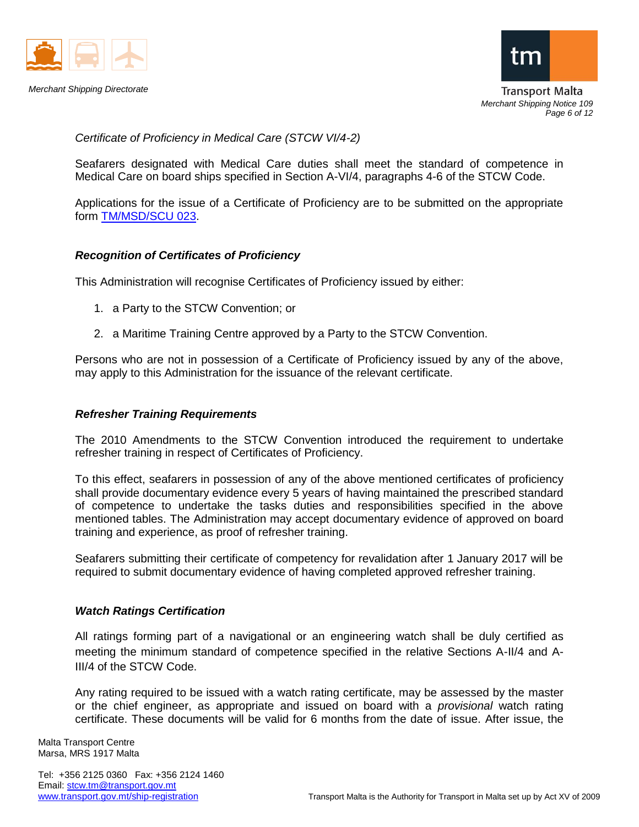



*Merchant Shipping Notice 109 Page 6 of 12*

*Certificate of Proficiency in Medical Care (STCW VI/4-2)*

Seafarers designated with Medical Care duties shall meet the standard of competence in Medical Care on board ships specified in Section A-VI/4, paragraphs 4-6 of the STCW Code.

Applications for the issue of a Certificate of Proficiency are to be submitted on the appropriate form [TM/MSD/SCU 023.](http://www.transport.gov.mt/admin/uploads/media-library/files/Form%20TM%20MSD%20SCU%20023%20Application%20for%20a%20certificate%20of%20proficiency%20in%20Medical%20First%20Aid%20and%20Medical%20Care%20Issue%201.doc)

# *Recognition of Certificates of Proficiency*

This Administration will recognise Certificates of Proficiency issued by either:

- 1. a Party to the STCW Convention; or
- 2. a Maritime Training Centre approved by a Party to the STCW Convention.

Persons who are not in possession of a Certificate of Proficiency issued by any of the above, may apply to this Administration for the issuance of the relevant certificate.

#### *Refresher Training Requirements*

The 2010 Amendments to the STCW Convention introduced the requirement to undertake refresher training in respect of Certificates of Proficiency.

To this effect, seafarers in possession of any of the above mentioned certificates of proficiency shall provide documentary evidence every 5 years of having maintained the prescribed standard of competence to undertake the tasks duties and responsibilities specified in the above mentioned tables. The Administration may accept documentary evidence of approved on board training and experience, as proof of refresher training.

Seafarers submitting their certificate of competency for revalidation after 1 January 2017 will be required to submit documentary evidence of having completed approved refresher training.

#### *Watch Ratings Certification*

All ratings forming part of a navigational or an engineering watch shall be duly certified as meeting the minimum standard of competence specified in the relative Sections A-II/4 and A-III/4 of the STCW Code.

Any rating required to be issued with a watch rating certificate, may be assessed by the master or the chief engineer, as appropriate and issued on board with a *provisional* watch rating certificate. These documents will be valid for 6 months from the date of issue. After issue, the

Malta Transport Centre Marsa, MRS 1917 Malta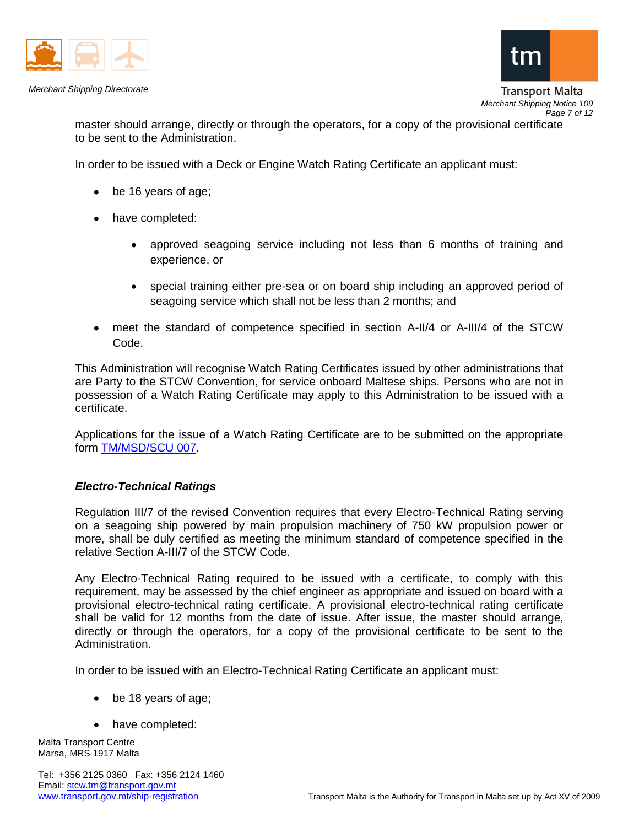



Transport Malta *Merchant Shipping Notice 109 Page 7 of 12*

master should arrange, directly or through the operators, for a copy of the provisional certificate to be sent to the Administration.

In order to be issued with a Deck or Engine Watch Rating Certificate an applicant must:

- be 16 years of age;
- have completed:
	- approved seagoing service including not less than 6 months of training and  $\bullet$ experience, or
	- special training either pre-sea or on board ship including an approved period of seagoing service which shall not be less than 2 months; and
- meet the standard of competence specified in section A-II/4 or A-III/4 of the STCW Code.

This Administration will recognise Watch Rating Certificates issued by other administrations that are Party to the STCW Convention, for service onboard Maltese ships. Persons who are not in possession of a Watch Rating Certificate may apply to this Administration to be issued with a certificate.

Applications for the issue of a Watch Rating Certificate are to be submitted on the appropriate form [TM/MSD/SCU 007.](http://www.transport.gov.mt/admin/uploads/media-library/files/Form%20TM%20MSD%20SCU%20007%20Application%20for%20a%20Watch%20Rating%20Certificate%20Issue%204.doc_20131016070016.doc)

#### *Electro-Technical Ratings*

Regulation III/7 of the revised Convention requires that every Electro-Technical Rating serving on a seagoing ship powered by main propulsion machinery of 750 kW propulsion power or more, shall be duly certified as meeting the minimum standard of competence specified in the relative Section A-III/7 of the STCW Code.

Any Electro-Technical Rating required to be issued with a certificate, to comply with this requirement, may be assessed by the chief engineer as appropriate and issued on board with a provisional electro-technical rating certificate. A provisional electro-technical rating certificate shall be valid for 12 months from the date of issue. After issue, the master should arrange, directly or through the operators, for a copy of the provisional certificate to be sent to the Administration.

In order to be issued with an Electro-Technical Rating Certificate an applicant must:

- be 18 years of age;
- have completed:

Malta Transport Centre Marsa, MRS 1917 Malta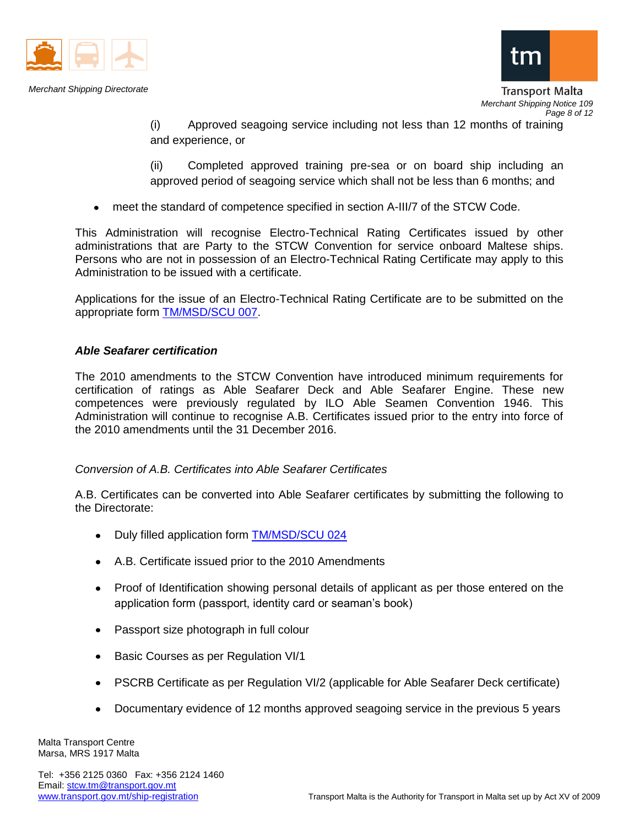



Transport Malta *Merchant Shipping Notice 109 Page 8 of 12*

(i) Approved seagoing service including not less than 12 months of training and experience, or

(ii) Completed approved training pre-sea or on board ship including an approved period of seagoing service which shall not be less than 6 months; and

meet the standard of competence specified in section A-III/7 of the STCW Code.

This Administration will recognise Electro-Technical Rating Certificates issued by other administrations that are Party to the STCW Convention for service onboard Maltese ships. Persons who are not in possession of an Electro-Technical Rating Certificate may apply to this Administration to be issued with a certificate.

Applications for the issue of an Electro-Technical Rating Certificate are to be submitted on the appropriate form [TM/MSD/SCU 007.](http://www.transport.gov.mt/admin/uploads/media-library/files/Form%20TM%20MSD%20SCU%20007%20Application%20for%20a%20Watch%20Rating%20Certificate%20Issue%204.doc_20131016070016.doc)

# *Able Seafarer certification*

The 2010 amendments to the STCW Convention have introduced minimum requirements for certification of ratings as Able Seafarer Deck and Able Seafarer Engine. These new competences were previously regulated by ILO Able Seamen Convention 1946. This Administration will continue to recognise A.B. Certificates issued prior to the entry into force of the 2010 amendments until the 31 December 2016.

# *Conversion of A.B. Certificates into Able Seafarer Certificates*

A.B. Certificates can be converted into Able Seafarer certificates by submitting the following to the Directorate:

- Duly filled application form [TM/MSD/SCU 024](http://www.transport.gov.mt/admin/uploads/media-library/files/Form%20TM%20MSD%20SCU%20024%20Application%20for%20certification%20of%20ratings%20as%20Able%20Seafarer%20Issue%201.doc)
- A.B. Certificate issued prior to the 2010 Amendments
- Proof of Identification showing personal details of applicant as per those entered on the application form (passport, identity card or seaman's book)
- Passport size photograph in full colour
- $\bullet$ Basic Courses as per Regulation VI/1
- PSCRB Certificate as per Regulation VI/2 (applicable for Able Seafarer Deck certificate)  $\bullet$
- $\bullet$ Documentary evidence of 12 months approved seagoing service in the previous 5 years

Malta Transport Centre Marsa, MRS 1917 Malta

Tel: +356 2125 0360 Fax: +356 2124 1460 Email: stcw.tm@transport.gov.mt<br>www.transport.gov.mt/ship-registration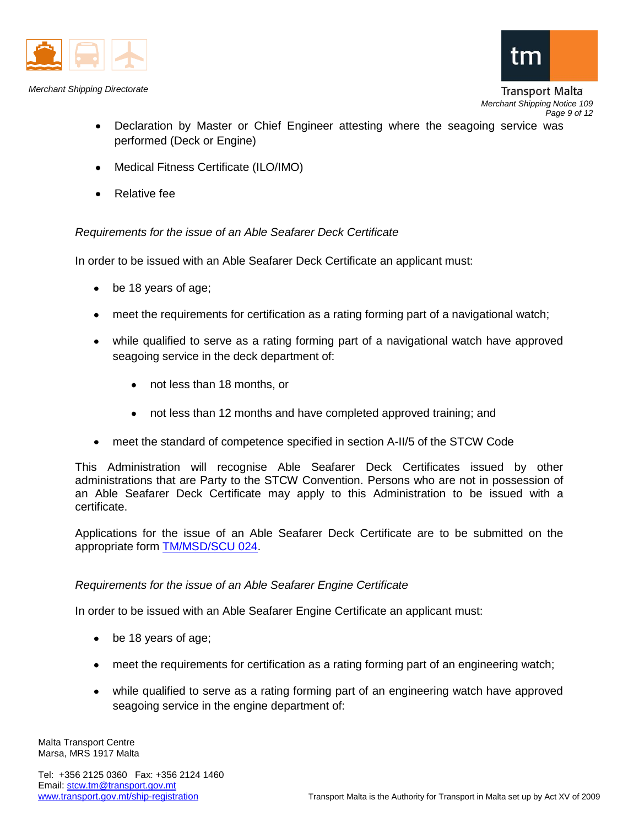



- Declaration by Master or Chief Engineer attesting where the seagoing service was performed (Deck or Engine)
- Medical Fitness Certificate (ILO/IMO)  $\bullet$
- Relative fee  $\bullet$

*Requirements for the issue of an Able Seafarer Deck Certificate* 

In order to be issued with an Able Seafarer Deck Certificate an applicant must:

- be 18 years of age;
- meet the requirements for certification as a rating forming part of a navigational watch;
- while qualified to serve as a rating forming part of a navigational watch have approved seagoing service in the deck department of:
	- not less than 18 months, or
	- $\bullet$ not less than 12 months and have completed approved training; and
- meet the standard of competence specified in section A-II/5 of the STCW Code

This Administration will recognise Able Seafarer Deck Certificates issued by other administrations that are Party to the STCW Convention. Persons who are not in possession of an Able Seafarer Deck Certificate may apply to this Administration to be issued with a certificate.

Applications for the issue of an Able Seafarer Deck Certificate are to be submitted on the appropriate form [TM/MSD/SCU 024.](http://www.transport.gov.mt/admin/uploads/media-library/files/Form%20TM%20MSD%20SCU%20024%20Application%20for%20certification%20of%20ratings%20as%20Able%20Seafarer%20Issue%201.doc)

#### *Requirements for the issue of an Able Seafarer Engine Certificate*

In order to be issued with an Able Seafarer Engine Certificate an applicant must:

- be 18 years of age;
- meet the requirements for certification as a rating forming part of an engineering watch;
- while qualified to serve as a rating forming part of an engineering watch have approved seagoing service in the engine department of:

Malta Transport Centre Marsa, MRS 1917 Malta

Tel: +356 2125 0360 Fax: +356 2124 1460 Email: stcw.tm@transport.gov.mt<br>www.transport.gov.mt/ship-registration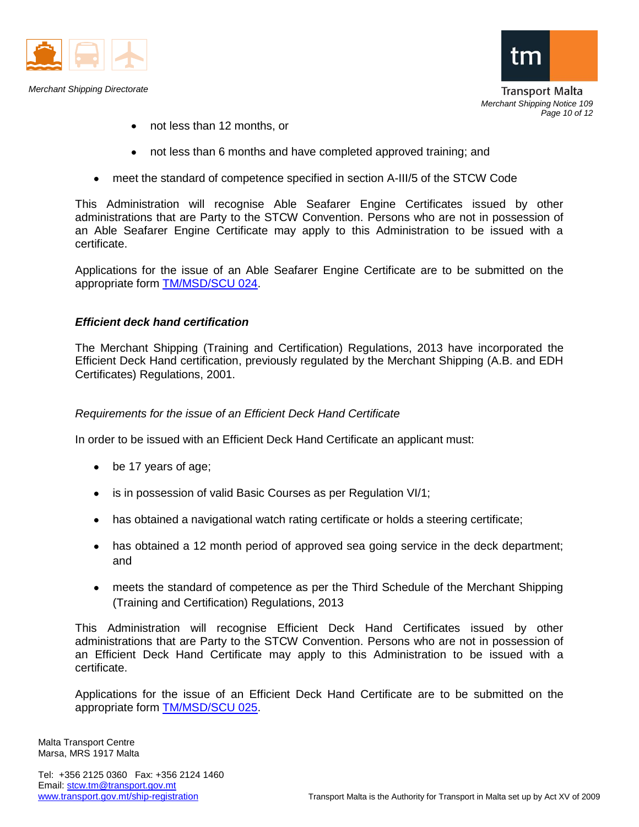



**Transport Malta** *Merchant Shipping Notice 109 Page 10 of 12*

- not less than 12 months, or  $\bullet$
- not less than 6 months and have completed approved training; and  $\bullet$
- meet the standard of competence specified in section A-III/5 of the STCW Code

This Administration will recognise Able Seafarer Engine Certificates issued by other administrations that are Party to the STCW Convention. Persons who are not in possession of an Able Seafarer Engine Certificate may apply to this Administration to be issued with a certificate.

Applications for the issue of an Able Seafarer Engine Certificate are to be submitted on the appropriate form [TM/MSD/SCU 024.](http://www.transport.gov.mt/admin/uploads/media-library/files/Form%20TM%20MSD%20SCU%20024%20Application%20for%20certification%20of%20ratings%20as%20Able%20Seafarer%20Issue%201.doc)

#### *Efficient deck hand certification*

The Merchant Shipping (Training and Certification) Regulations, 2013 have incorporated the Efficient Deck Hand certification, previously regulated by the Merchant Shipping (A.B. and EDH Certificates) Regulations, 2001.

#### *Requirements for the issue of an Efficient Deck Hand Certificate*

In order to be issued with an Efficient Deck Hand Certificate an applicant must:

- be 17 years of age;
- $\bullet$ is in possession of valid Basic Courses as per Regulation VI/1;
- has obtained a navigational watch rating certificate or holds a steering certificate;
- has obtained a 12 month period of approved sea going service in the deck department; and
- meets the standard of competence as per the Third Schedule of the Merchant Shipping (Training and Certification) Regulations, 2013

This Administration will recognise Efficient Deck Hand Certificates issued by other administrations that are Party to the STCW Convention. Persons who are not in possession of an Efficient Deck Hand Certificate may apply to this Administration to be issued with a certificate.

Applications for the issue of an Efficient Deck Hand Certificate are to be submitted on the appropriate form [TM/MSD/SCU 025.](http://www.transport.gov.mt/admin/uploads/media-library/files/Form%20TM%20MSD%20SCU%20025%20Application%20for%20an%20Efficient%20Deck%20Hand%20Certificate%20Issue%201.doc_20131016070016.doc)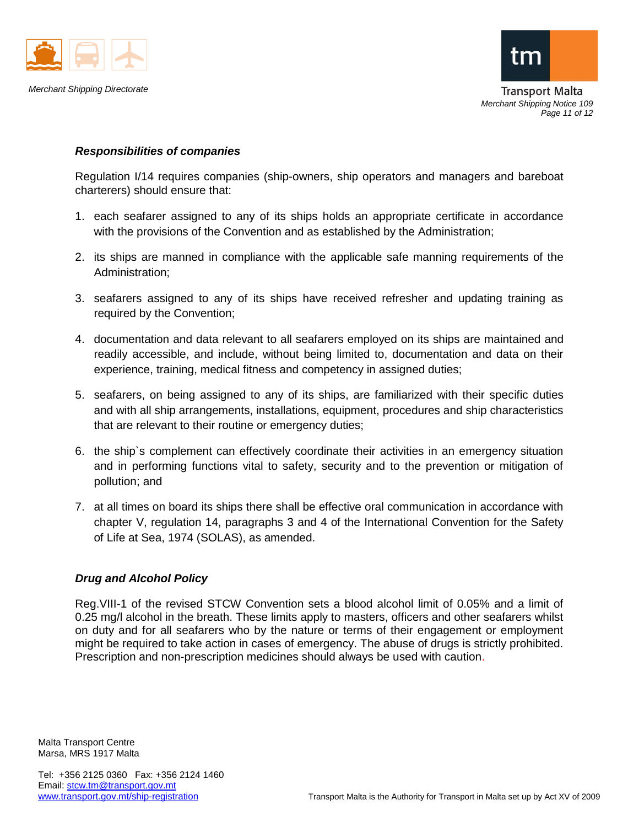



*Merchant Shipping Notice 109 Page 11 of 12*

# *Responsibilities of companies*

Regulation I/14 requires companies (ship-owners, ship operators and managers and bareboat charterers) should ensure that:

- 1. each seafarer assigned to any of its ships holds an appropriate certificate in accordance with the provisions of the Convention and as established by the Administration;
- 2. its ships are manned in compliance with the applicable safe manning requirements of the Administration;
- 3. seafarers assigned to any of its ships have received refresher and updating training as required by the Convention;
- 4. documentation and data relevant to all seafarers employed on its ships are maintained and readily accessible, and include, without being limited to, documentation and data on their experience, training, medical fitness and competency in assigned duties;
- 5. seafarers, on being assigned to any of its ships, are familiarized with their specific duties and with all ship arrangements, installations, equipment, procedures and ship characteristics that are relevant to their routine or emergency duties;
- 6. the ship`s complement can effectively coordinate their activities in an emergency situation and in performing functions vital to safety, security and to the prevention or mitigation of pollution; and
- 7. at all times on board its ships there shall be effective oral communication in accordance with chapter V, regulation 14, paragraphs 3 and 4 of the International Convention for the Safety of Life at Sea, 1974 (SOLAS), as amended.

# *Drug and Alcohol Policy*

Reg.VIII-1 of the revised STCW Convention sets a blood alcohol limit of 0.05% and a limit of 0.25 mg/l alcohol in the breath. These limits apply to masters, officers and other seafarers whilst on duty and for all seafarers who by the nature or terms of their engagement or employment might be required to take action in cases of emergency. The abuse of drugs is strictly prohibited. Prescription and non-prescription medicines should always be used with caution.

Malta Transport Centre Marsa, MRS 1917 Malta